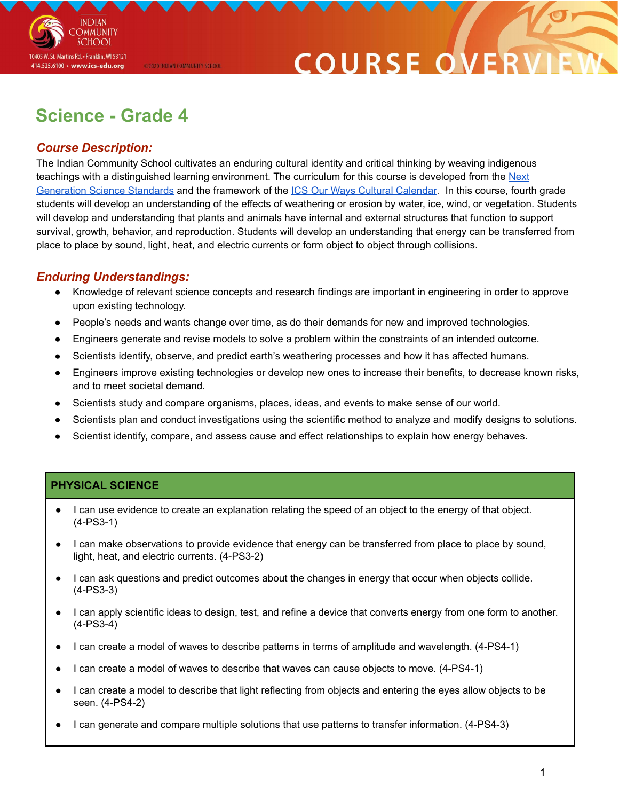

## COURSE O

### **Science - Grade 4**

@2020 INDIAN COMMUNITY SCHOOL

#### *Course Description:*

The Indian Community School cultivates an enduring cultural identity and critical thinking by weaving indigenous teachings with a distinguished learning environment. The curriculum for this course is developed from the [Next](https://www.nextgenscience.org/overview-topics) [Generation](https://www.nextgenscience.org/overview-topics) Science Standards and the framework of the ICS Our Ways Cultural [Calendar](https://drive.google.com/open?id=0B7pONXiRIufTT3VHOXBBeG9USHMzbDNIUi1nV0NTbURCMFRZ). In this course, fourth grade students will develop an understanding of the effects of weathering or erosion by water, ice, wind, or vegetation. Students will develop and understanding that plants and animals have internal and external structures that function to support survival, growth, behavior, and reproduction. Students will develop an understanding that energy can be transferred from place to place by sound, light, heat, and electric currents or form object to object through collisions.

#### *Enduring Understandings:*

- Knowledge of relevant science concepts and research findings are important in engineering in order to approve upon existing technology.
- People's needs and wants change over time, as do their demands for new and improved technologies.
- Engineers generate and revise models to solve a problem within the constraints of an intended outcome.
- Scientists identify, observe, and predict earth's weathering processes and how it has affected humans.
- Engineers improve existing technologies or develop new ones to increase their benefits, to decrease known risks, and to meet societal demand.
- Scientists study and compare organisms, places, ideas, and events to make sense of our world.
- Scientists plan and conduct investigations using the scientific method to analyze and modify designs to solutions.
- Scientist identify, compare, and assess cause and effect relationships to explain how energy behaves.

#### **PHYSICAL SCIENCE**

- I can use evidence to create an explanation relating the speed of an object to the energy of that object. (4-PS3-1)
- I can make observations to provide evidence that energy can be transferred from place to place by sound, light, heat, and electric currents. (4-PS3-2)
- I can ask questions and predict outcomes about the changes in energy that occur when objects collide. (4-PS3-3)
- I can apply scientific ideas to design, test, and refine a device that converts energy from one form to another. (4-PS3-4)
- I can create a model of waves to describe patterns in terms of amplitude and wavelength. (4-PS4-1)
- I can create a model of waves to describe that waves can cause objects to move. (4-PS4-1)
- I can create a model to describe that light reflecting from objects and entering the eyes allow objects to be seen. (4-PS4-2)
- I can generate and compare multiple solutions that use patterns to transfer information. (4-PS4-3)